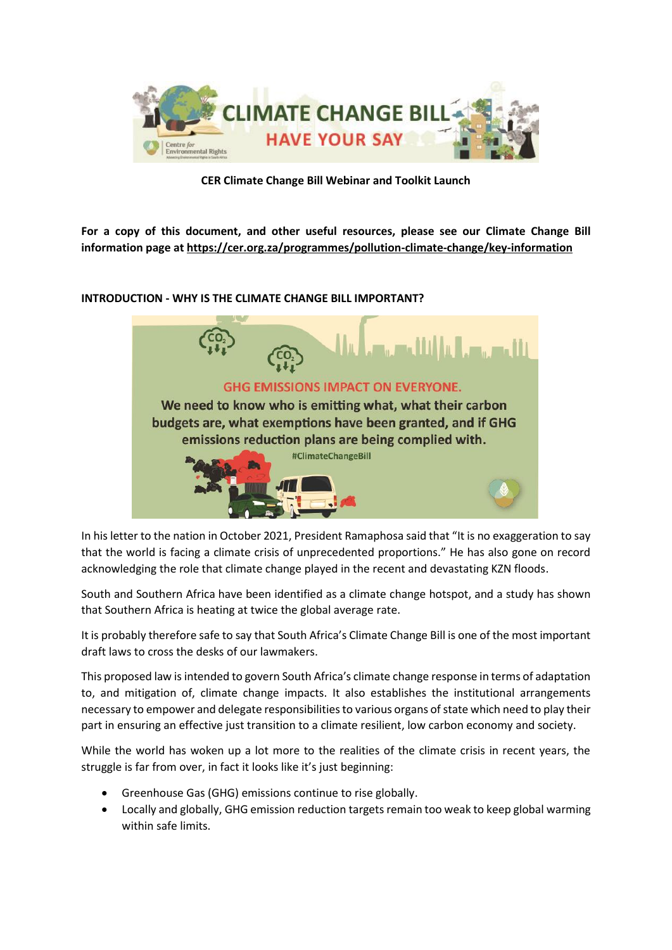

**CER Climate Change Bill Webinar and Toolkit Launch**

**For a copy of this document, and other useful resources, please see our Climate Change Bill information page a[t https://cer.org.za/programmes/pollution-climate-change/key-information](https://cer.org.za/programmes/pollution-climate-change/key-information)**

# **INTRODUCTION - WHY IS THE CLIMATE CHANGE BILL IMPORTANT?**



In his letter to the nation in October 2021, President Ramaphosa said that "It is no exaggeration to say that the world is facing a climate crisis of unprecedented proportions." He has also gone on record acknowledging the role that climate change played in the recent and devastating KZN floods.

South and Southern Africa have been identified as a climate change hotspot, and a study has shown that Southern Africa is heating at twice the global average rate.

It is probably therefore safe to say that South Africa's Climate Change Bill is one of the most important draft laws to cross the desks of our lawmakers.

This proposed law is intended to govern South Africa's climate change response in terms of adaptation to, and mitigation of, climate change impacts. It also establishes the institutional arrangements necessary to empower and delegate responsibilities to various organs of state which need to play their part in ensuring an effective just transition to a climate resilient, low carbon economy and society.

While the world has woken up a lot more to the realities of the climate crisis in recent years, the struggle is far from over, in fact it looks like it's just beginning:

- Greenhouse Gas (GHG) emissions continue to rise globally.
- Locally and globally, GHG emission reduction targets remain too weak to keep global warming within safe limits.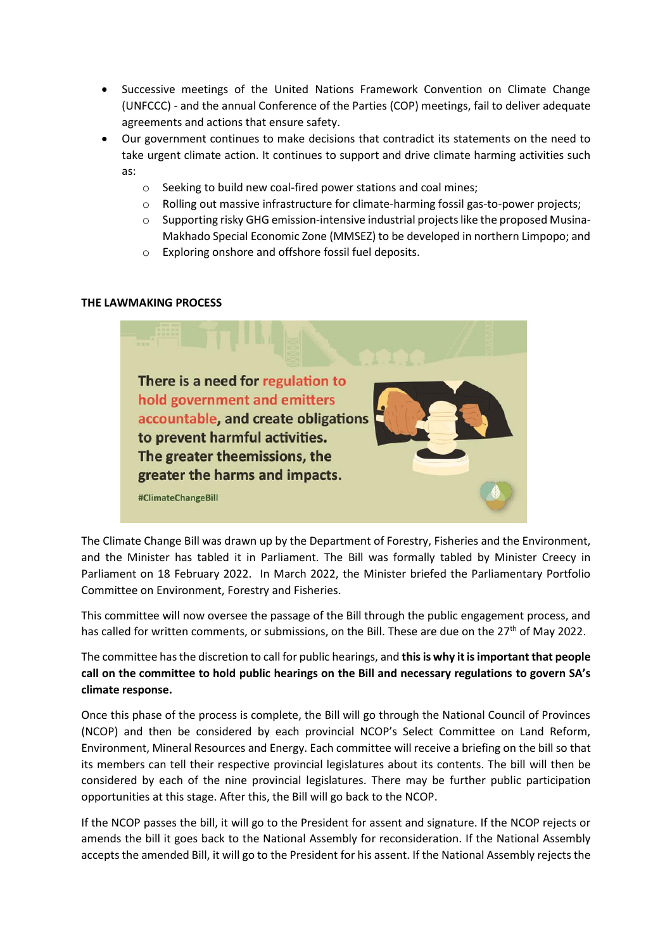- Successive meetings of the United Nations Framework Convention on Climate Change (UNFCCC) - and the annual Conference of the Parties (COP) meetings, fail to deliver adequate agreements and actions that ensure safety.
- Our government continues to make decisions that contradict its statements on the need to take urgent climate action. It continues to support and drive climate harming activities such as:
	- o Seeking to build new coal-fired power stations and coal mines;
	- o Rolling out massive infrastructure for climate-harming fossil gas-to-power projects;
	- o Supporting risky GHG emission-intensive industrial projects like the proposed Musina-Makhado Special Economic Zone (MMSEZ) to be developed in northern Limpopo; and
	- o Exploring onshore and offshore fossil fuel deposits.

#### **THE LAWMAKING PROCESS**



The Climate Change Bill was drawn up by the Department of Forestry, Fisheries and the Environment, and the Minister has tabled it in Parliament. The Bill was formally tabled by Minister Creecy in Parliament on 18 February 2022. In March 2022, the Minister briefed the Parliamentary Portfolio Committee on Environment, Forestry and Fisheries.

This committee will now oversee the passage of the Bill through the public engagement process, and has called for written comments, or submissions, on the Bill. These are due on the 27<sup>th</sup> of May 2022.

The committee has the discretion to call for public hearings, and **this is why it is important that people call on the committee to hold public hearings on the Bill and necessary regulations to govern SA's climate response.**

Once this phase of the process is complete, the Bill will go through the National Council of Provinces (NCOP) and then be considered by each provincial NCOP's Select Committee on Land Reform, Environment, Mineral Resources and Energy. Each committee will receive a briefing on the bill so that its members can tell their respective provincial legislatures about its contents. The bill will then be considered by each of the nine provincial legislatures. There may be further public participation opportunities at this stage. After this, the Bill will go back to the NCOP.

If the NCOP passes the bill, it will go to the President for assent and signature. If the NCOP rejects or amends the bill it goes back to the National Assembly for reconsideration. If the National Assembly accepts the amended Bill, it will go to the President for his assent. If the National Assembly rejects the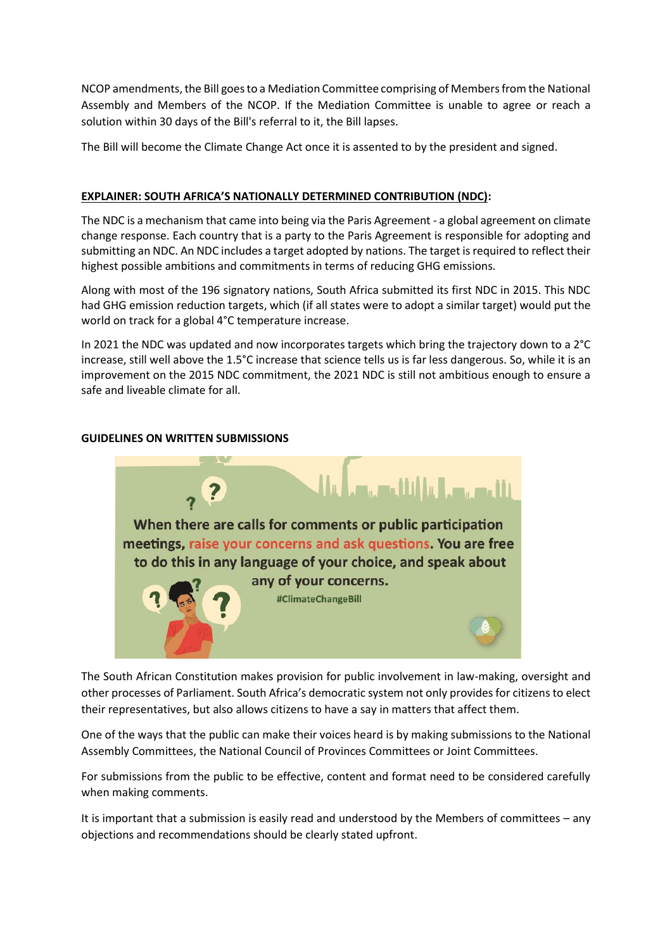NCOP amendments, the Bill goes to a Mediation Committee comprising of Members from the National Assembly and Members of the NCOP. If the Mediation Committee is unable to agree or reach a solution within 30 days of the Bill's referral to it, the Bill lapses.

The Bill will become the Climate Change Act once it is assented to by the president and signed.

# **EXPLAINER: SOUTH AFRICA'S NATIONALLY DETERMINED CONTRIBUTION (NDC):**

The NDC is a mechanism that came into being via the Paris Agreement - a global agreement on climate change response. Each country that is a party to the Paris Agreement is responsible for adopting and submitting an NDC. An NDC includes a target adopted by nations. The target is required to reflect their highest possible ambitions and commitments in terms of reducing GHG emissions.

Along with most of the 196 signatory nations, South Africa submitted its first NDC in 2015. This NDC had GHG emission reduction targets, which (if all states were to adopt a similar target) would put the world on track for a global 4°C temperature increase.

In 2021 the NDC was updated and now incorporates targets which bring the trajectory down to a 2°C increase, still well above the 1.5°C increase that science tells us is far less dangerous. So, while it is an improvement on the 2015 NDC commitment, the 2021 NDC is still not ambitious enough to ensure a safe and liveable climate for all.

# **GUIDELINES ON WRITTEN SUBMISSIONS**



The South African Constitution makes provision for public involvement in law-making, oversight and other processes of Parliament. South Africa's democratic system not only provides for citizens to elect their representatives, but also allows citizens to have a say in matters that affect them.

One of the ways that the public can make their voices heard is by making submissions to the National Assembly Committees, the National Council of Provinces Committees or Joint Committees.

For submissions from the public to be effective, content and format need to be considered carefully when making comments.

It is important that a submission is easily read and understood by the Members of committees – any objections and recommendations should be clearly stated upfront.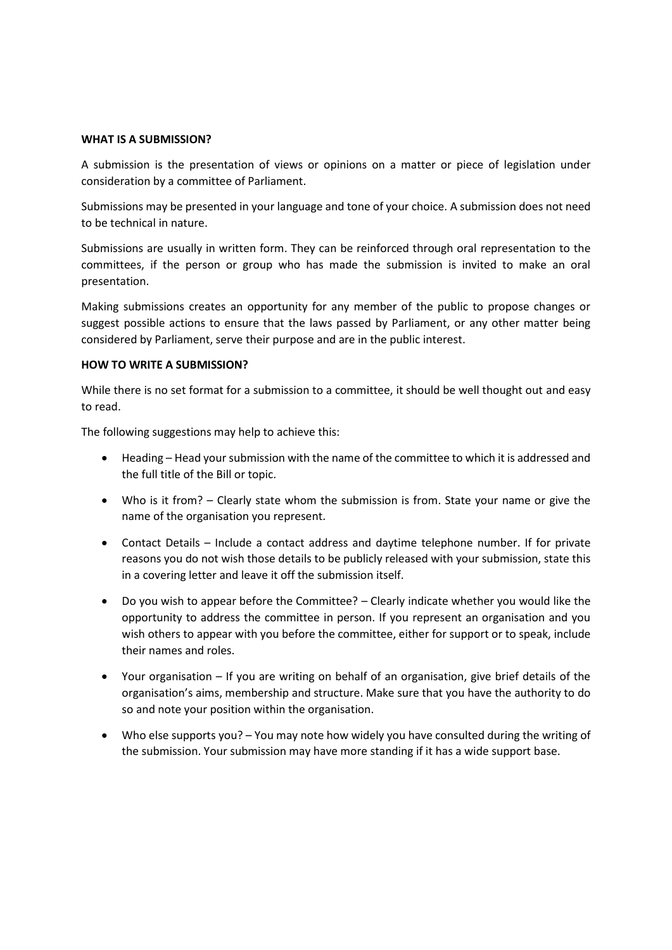#### **WHAT IS A SUBMISSION?**

A submission is the presentation of views or opinions on a matter or piece of legislation under consideration by a committee of Parliament.

Submissions may be presented in your language and tone of your choice. A submission does not need to be technical in nature.

Submissions are usually in written form. They can be reinforced through oral representation to the committees, if the person or group who has made the submission is invited to make an oral presentation.

Making submissions creates an opportunity for any member of the public to propose changes or suggest possible actions to ensure that the laws passed by Parliament, or any other matter being considered by Parliament, serve their purpose and are in the public interest.

### **HOW TO WRITE A SUBMISSION?**

While there is no set format for a submission to a committee, it should be well thought out and easy to read.

The following suggestions may help to achieve this:

- Heading Head your submission with the name of the committee to which it is addressed and the full title of the Bill or topic.
- Who is it from? Clearly state whom the submission is from. State your name or give the name of the organisation you represent.
- Contact Details Include a contact address and daytime telephone number. If for private reasons you do not wish those details to be publicly released with your submission, state this in a covering letter and leave it off the submission itself.
- Do you wish to appear before the Committee? Clearly indicate whether you would like the opportunity to address the committee in person. If you represent an organisation and you wish others to appear with you before the committee, either for support or to speak, include their names and roles.
- Your organisation If you are writing on behalf of an organisation, give brief details of the organisation's aims, membership and structure. Make sure that you have the authority to do so and note your position within the organisation.
- Who else supports you? You may note how widely you have consulted during the writing of the submission. Your submission may have more standing if it has a wide support base.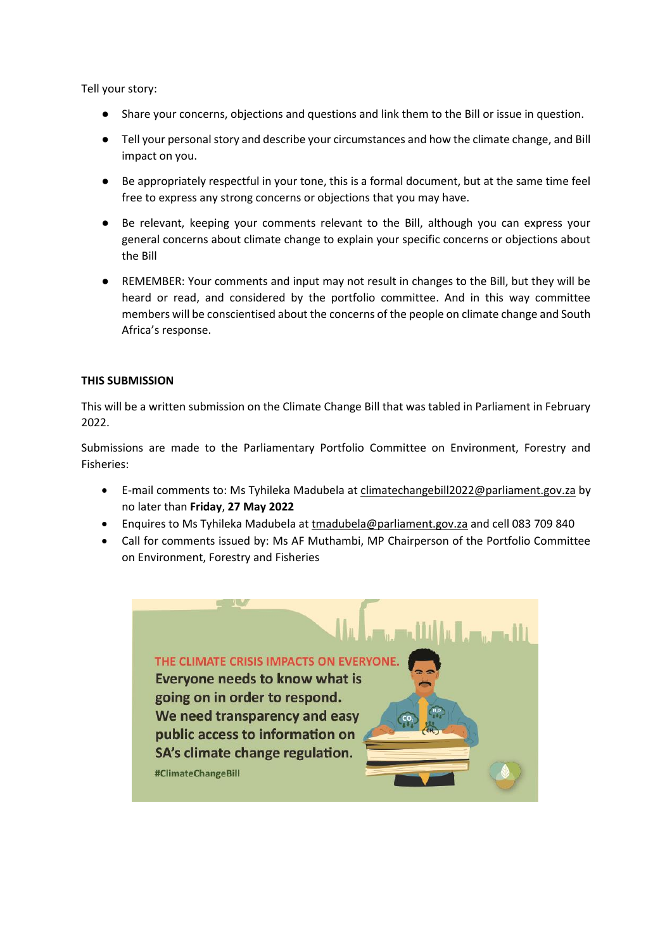Tell your story:

- Share your concerns, objections and questions and link them to the Bill or issue in question.
- Tell your personal story and describe your circumstances and how the climate change, and Bill impact on you.
- Be appropriately respectful in your tone, this is a formal document, but at the same time feel free to express any strong concerns or objections that you may have.
- Be relevant, keeping your comments relevant to the Bill, although you can express your general concerns about climate change to explain your specific concerns or objections about the Bill
- REMEMBER: Your comments and input may not result in changes to the Bill, but they will be heard or read, and considered by the portfolio committee. And in this way committee members will be conscientised about the concerns of the people on climate change and South Africa's response.

# **THIS SUBMISSION**

This will be a written submission on the Climate Change Bill that was tabled in Parliament in February 2022.

Submissions are made to the Parliamentary Portfolio Committee on Environment, Forestry and Fisheries:

- E-mail comments to: Ms Tyhileka Madubela at [climatechangebill2022@parliament.gov.za](mailto:climatechangebill2022@parliament.gov.za) by no later than **Friday**, **27 May 2022**
- Enquires to Ms Tyhileka Madubela at [tmadubela@parliament.gov.za](mailto:tmadubela@parliament.gov.za) and cell 083 709 840
- Call for comments issued by: Ms AF Muthambi, MP Chairperson of the Portfolio Committee on Environment, Forestry and Fisheries

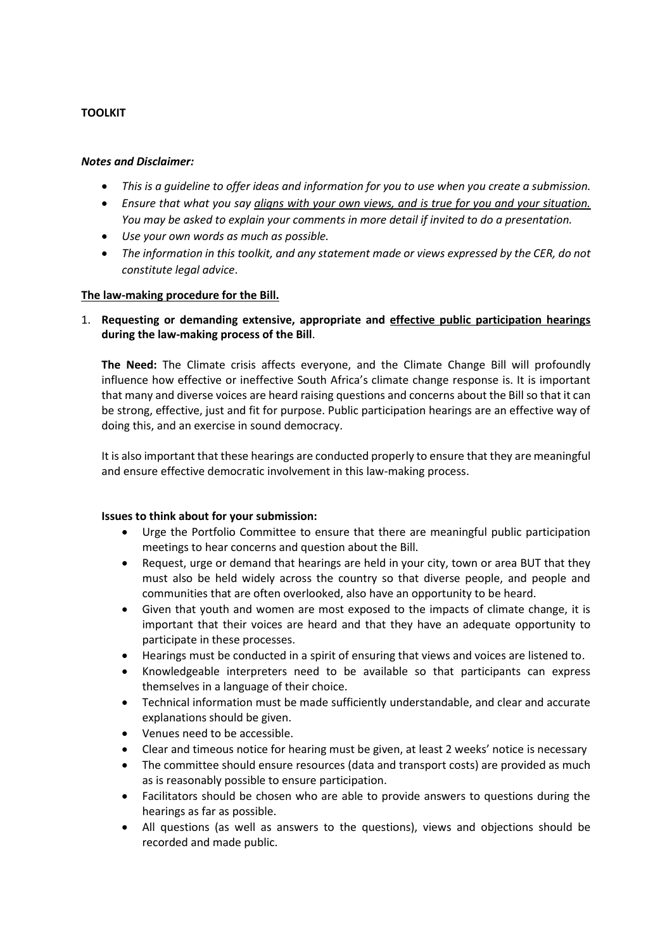# **TOOLKIT**

## *Notes and Disclaimer:*

- *This is a guideline to offer ideas and information for you to use when you create a submission.*
- *Ensure that what you say aligns with your own views, and is true for you and your situation. You may be asked to explain your comments in more detail if invited to do a presentation.*
- *Use your own words as much as possible.*
- *The information in this toolkit, and any statement made or views expressed by the CER, do not constitute legal advice*.

## **The law-making procedure for the Bill.**

1. **Requesting or demanding extensive, appropriate and effective public participation hearings during the law-making process of the Bill**.

**The Need:** The Climate crisis affects everyone, and the Climate Change Bill will profoundly influence how effective or ineffective South Africa's climate change response is. It is important that many and diverse voices are heard raising questions and concerns about the Bill so that it can be strong, effective, just and fit for purpose. Public participation hearings are an effective way of doing this, and an exercise in sound democracy.

It is also important that these hearings are conducted properly to ensure that they are meaningful and ensure effective democratic involvement in this law-making process.

## **Issues to think about for your submission:**

- Urge the Portfolio Committee to ensure that there are meaningful public participation meetings to hear concerns and question about the Bill.
- Request, urge or demand that hearings are held in your city, town or area BUT that they must also be held widely across the country so that diverse people, and people and communities that are often overlooked, also have an opportunity to be heard.
- Given that youth and women are most exposed to the impacts of climate change, it is important that their voices are heard and that they have an adequate opportunity to participate in these processes.
- Hearings must be conducted in a spirit of ensuring that views and voices are listened to.
- Knowledgeable interpreters need to be available so that participants can express themselves in a language of their choice.
- Technical information must be made sufficiently understandable, and clear and accurate explanations should be given.
- Venues need to be accessible.
- Clear and timeous notice for hearing must be given, at least 2 weeks' notice is necessary
- The committee should ensure resources (data and transport costs) are provided as much as is reasonably possible to ensure participation.
- Facilitators should be chosen who are able to provide answers to questions during the hearings as far as possible.
- All questions (as well as answers to the questions), views and objections should be recorded and made public.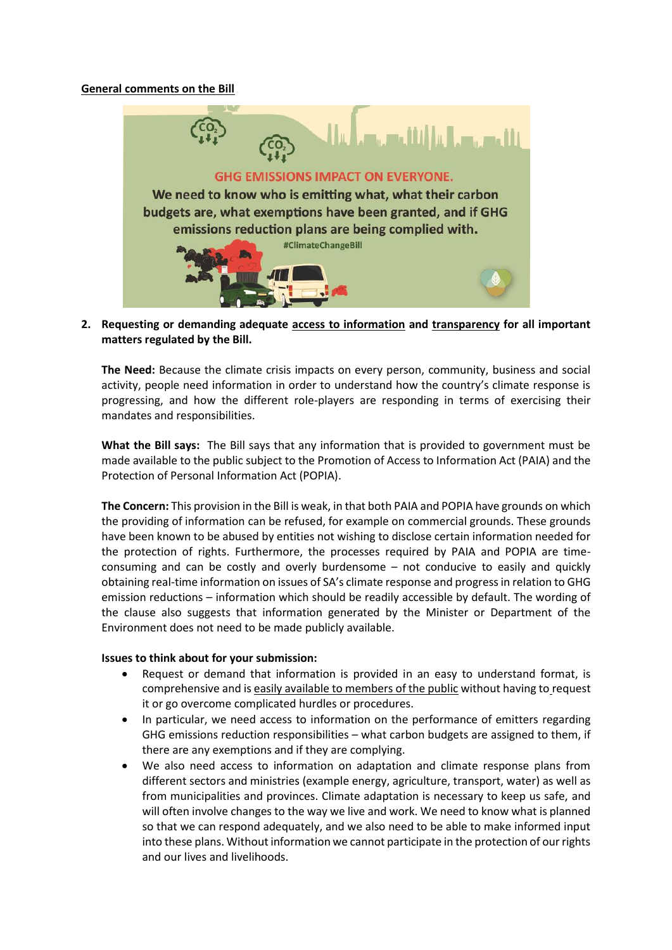#### **General comments on the Bill**



**2. Requesting or demanding adequate access to information and transparency for all important matters regulated by the Bill.**

**The Need:** Because the climate crisis impacts on every person, community, business and social activity, people need information in order to understand how the country's climate response is progressing, and how the different role-players are responding in terms of exercising their mandates and responsibilities.

**What the Bill says:** The Bill says that any information that is provided to government must be made available to the public subject to the Promotion of Access to Information Act (PAIA) and the Protection of Personal Information Act (POPIA).

**The Concern:** This provision in the Bill is weak, in that both PAIA and POPIA have grounds on which the providing of information can be refused, for example on commercial grounds. These grounds have been known to be abused by entities not wishing to disclose certain information needed for the protection of rights. Furthermore, the processes required by PAIA and POPIA are timeconsuming and can be costly and overly burdensome – not conducive to easily and quickly obtaining real-time information on issues of SA's climate response and progress in relation to GHG emission reductions – information which should be readily accessible by default. The wording of the clause also suggests that information generated by the Minister or Department of the Environment does not need to be made publicly available.

#### **Issues to think about for your submission:**

- Request or demand that information is provided in an easy to understand format, is comprehensive and is easily available to members of the public without having to request it or go overcome complicated hurdles or procedures.
- In particular, we need access to information on the performance of emitters regarding GHG emissions reduction responsibilities – what carbon budgets are assigned to them, if there are any exemptions and if they are complying.
- We also need access to information on adaptation and climate response plans from different sectors and ministries (example energy, agriculture, transport, water) as well as from municipalities and provinces. Climate adaptation is necessary to keep us safe, and will often involve changes to the way we live and work. We need to know what is planned so that we can respond adequately, and we also need to be able to make informed input into these plans. Without information we cannot participate in the protection of our rights and our lives and livelihoods.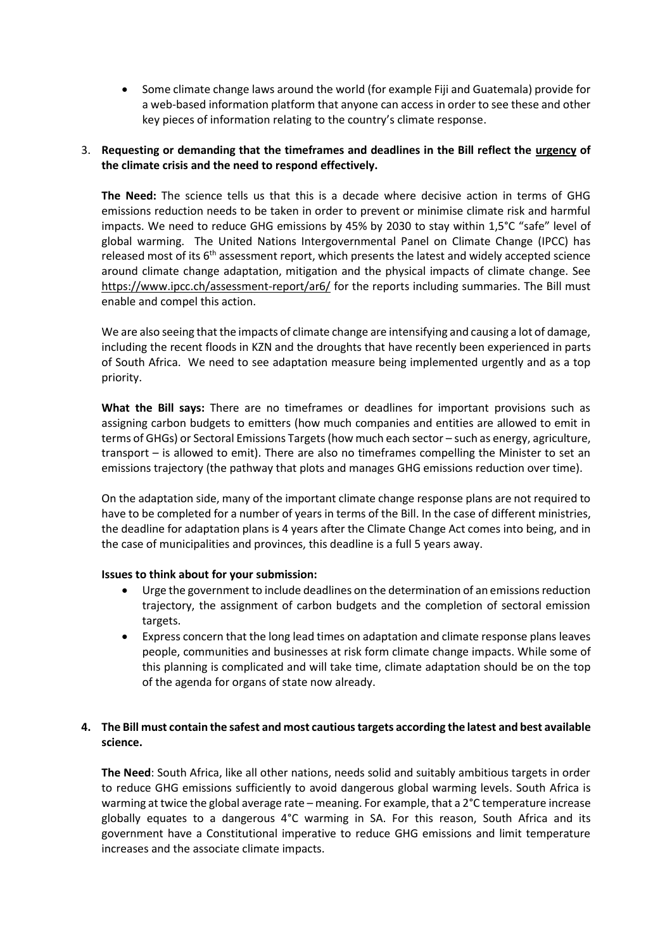Some climate change laws around the world (for example Fiji and Guatemala) provide for a web-based information platform that anyone can access in order to see these and other key pieces of information relating to the country's climate response.

# 3. **Requesting or demanding that the timeframes and deadlines in the Bill reflect the urgency of the climate crisis and the need to respond effectively.**

**The Need:** The science tells us that this is a decade where decisive action in terms of GHG emissions reduction needs to be taken in order to prevent or minimise climate risk and harmful impacts. We need to reduce GHG emissions by 45% by 2030 to stay within 1,5°C "safe" level of global warming. The United Nations Intergovernmental Panel on Climate Change (IPCC) has released most of its 6<sup>th</sup> assessment report, which presents the latest and widely accepted science around climate change adaptation, mitigation and the physical impacts of climate change. See <https://www.ipcc.ch/assessment-report/ar6/> for the reports including summaries. The Bill must enable and compel this action.

We are also seeing that the impacts of climate change are intensifying and causing a lot of damage, including the recent floods in KZN and the droughts that have recently been experienced in parts of South Africa. We need to see adaptation measure being implemented urgently and as a top priority.

**What the Bill says:** There are no timeframes or deadlines for important provisions such as assigning carbon budgets to emitters (how much companies and entities are allowed to emit in terms of GHGs) or Sectoral Emissions Targets (how much each sector – such as energy, agriculture, transport – is allowed to emit). There are also no timeframes compelling the Minister to set an emissions trajectory (the pathway that plots and manages GHG emissions reduction over time).

On the adaptation side, many of the important climate change response plans are not required to have to be completed for a number of years in terms of the Bill. In the case of different ministries, the deadline for adaptation plans is 4 years after the Climate Change Act comes into being, and in the case of municipalities and provinces, this deadline is a full 5 years away.

## **Issues to think about for your submission:**

- Urge the government to include deadlines on the determination of an emissions reduction trajectory, the assignment of carbon budgets and the completion of sectoral emission targets.
- Express concern that the long lead times on adaptation and climate response plans leaves people, communities and businesses at risk form climate change impacts. While some of this planning is complicated and will take time, climate adaptation should be on the top of the agenda for organs of state now already.

# **4. The Bill must contain the safest and most cautious targets according the latest and best available science.**

**The Need**: South Africa, like all other nations, needs solid and suitably ambitious targets in order to reduce GHG emissions sufficiently to avoid dangerous global warming levels. South Africa is warming at twice the global average rate – meaning. For example, that a 2°C temperature increase globally equates to a dangerous 4°C warming in SA. For this reason, South Africa and its government have a Constitutional imperative to reduce GHG emissions and limit temperature increases and the associate climate impacts.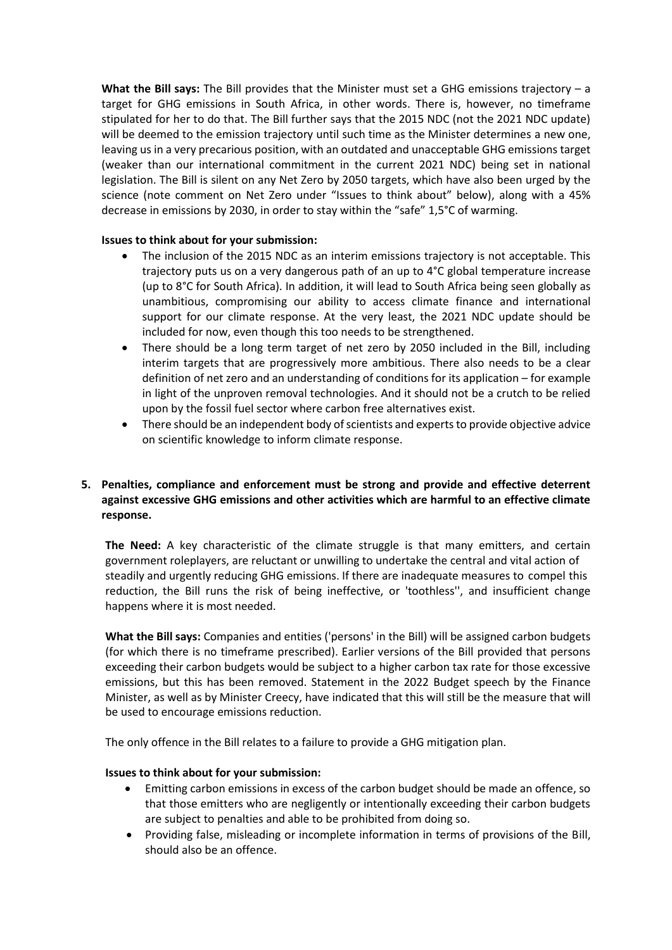**What the Bill says:** The Bill provides that the Minister must set a GHG emissions trajectory – a target for GHG emissions in South Africa, in other words. There is, however, no timeframe stipulated for her to do that. The Bill further says that the 2015 NDC (not the 2021 NDC update) will be deemed to the emission trajectory until such time as the Minister determines a new one, leaving us in a very precarious position, with an outdated and unacceptable GHG emissions target (weaker than our international commitment in the current 2021 NDC) being set in national legislation. The Bill is silent on any Net Zero by 2050 targets, which have also been urged by the science (note comment on Net Zero under "Issues to think about" below), along with a 45% decrease in emissions by 2030, in order to stay within the "safe" 1,5°C of warming.

## **Issues to think about for your submission:**

- The inclusion of the 2015 NDC as an interim emissions trajectory is not acceptable. This trajectory puts us on a very dangerous path of an up to 4°C global temperature increase (up to 8°C for South Africa). In addition, it will lead to South Africa being seen globally as unambitious, compromising our ability to access climate finance and international support for our climate response. At the very least, the 2021 NDC update should be included for now, even though this too needs to be strengthened.
- There should be a long term target of net zero by 2050 included in the Bill, including interim targets that are progressively more ambitious. There also needs to be a clear definition of net zero and an understanding of conditions for its application – for example in light of the unproven removal technologies. And it should not be a crutch to be relied upon by the fossil fuel sector where carbon free alternatives exist.
- There should be an independent body of scientists and experts to provide objective advice on scientific knowledge to inform climate response.

# **5. Penalties, compliance and enforcement must be strong and provide and effective deterrent against excessive GHG emissions and other activities which are harmful to an effective climate response.**

**The Need:** A key characteristic of the climate struggle is that many emitters, and certain government roleplayers, are reluctant or unwilling to undertake the central and vital action of steadily and urgently reducing GHG emissions. If there are inadequate measures to compel this reduction, the Bill runs the risk of being ineffective, or 'toothless'', and insufficient change happens where it is most needed.

**What the Bill says:** Companies and entities ('persons' in the Bill) will be assigned carbon budgets (for which there is no timeframe prescribed). Earlier versions of the Bill provided that persons exceeding their carbon budgets would be subject to a higher carbon tax rate for those excessive emissions, but this has been removed. Statement in the 2022 Budget speech by the Finance Minister, as well as by Minister Creecy, have indicated that this will still be the measure that will be used to encourage emissions reduction.

The only offence in the Bill relates to a failure to provide a GHG mitigation plan.

## **Issues to think about for your submission:**

- Emitting carbon emissions in excess of the carbon budget should be made an offence, so that those emitters who are negligently or intentionally exceeding their carbon budgets are subject to penalties and able to be prohibited from doing so.
- Providing false, misleading or incomplete information in terms of provisions of the Bill, should also be an offence.